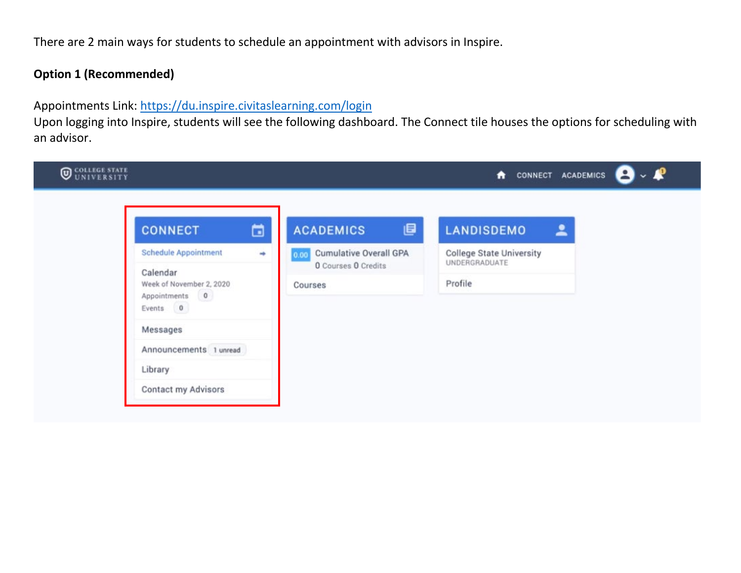There are 2 main ways for students to schedule an appointment with advisors in Inspire.

## **Option 1 (Recommended)**

Appointments Link:<https://du.inspire.civitaslearning.com/login>

Upon logging into Inspire, students will see the following dashboard. The Connect tile houses the options for scheduling with an advisor.

| <b>WEDELLEGE STATE</b> |                                                                    |   |                                                              | - ₽<br>CONNECT ACADEMICS<br>٠                    |  |  |
|------------------------|--------------------------------------------------------------------|---|--------------------------------------------------------------|--------------------------------------------------|--|--|
|                        | <b>CONNECT</b>                                                     | ö | 圓<br><b>ACADEMICS</b>                                        | <b>LANDISDEMO</b><br>≗                           |  |  |
|                        | <b>Schedule Appointment</b>                                        | ٠ | <b>Cumulative Overall GPA</b><br>0.00<br>O Courses O Credits | <b>College State University</b><br>UNDERGRADUATE |  |  |
|                        | Calendar<br>Week of November 2, 2020<br>Appointments 0<br>Events 0 |   | Courses                                                      | Profile                                          |  |  |
|                        | Messages                                                           |   |                                                              |                                                  |  |  |
|                        | Announcements 1 unread                                             |   |                                                              |                                                  |  |  |
|                        | Library                                                            |   |                                                              |                                                  |  |  |
|                        | Contact my Advisors                                                |   |                                                              |                                                  |  |  |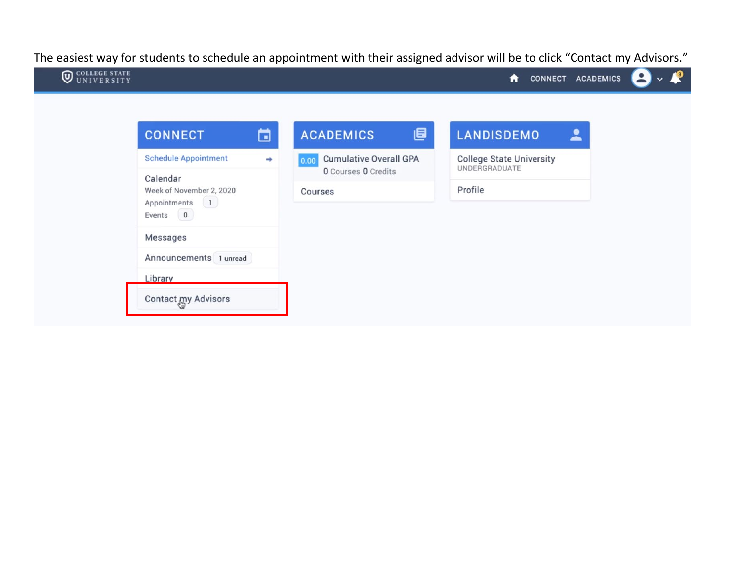The easiest way for students to schedule an appointment with their assigned advisor will be to click "Contact my Advisors."

| <b>CONNECT</b>                                                                            | ö | <b>ACADEMICS</b>                                             | 圓 | <b>LANDISDEMO</b>                                | $\blacktriangle$ |  |
|-------------------------------------------------------------------------------------------|---|--------------------------------------------------------------|---|--------------------------------------------------|------------------|--|
| <b>Schedule Appointment</b>                                                               | ÷ | <b>Cumulative Overall GPA</b><br>0.00<br>O Courses O Credits |   | <b>College State University</b><br>UNDERGRADUATE |                  |  |
| Calendar<br>Week of November 2, 2020<br>$\begin{pmatrix} 1 \end{pmatrix}$<br>Appointments |   | Courses                                                      |   | Profile                                          |                  |  |
| Events 0<br><b>Messages</b>                                                               |   |                                                              |   |                                                  |                  |  |
| Announcements 1 unread                                                                    |   |                                                              |   |                                                  |                  |  |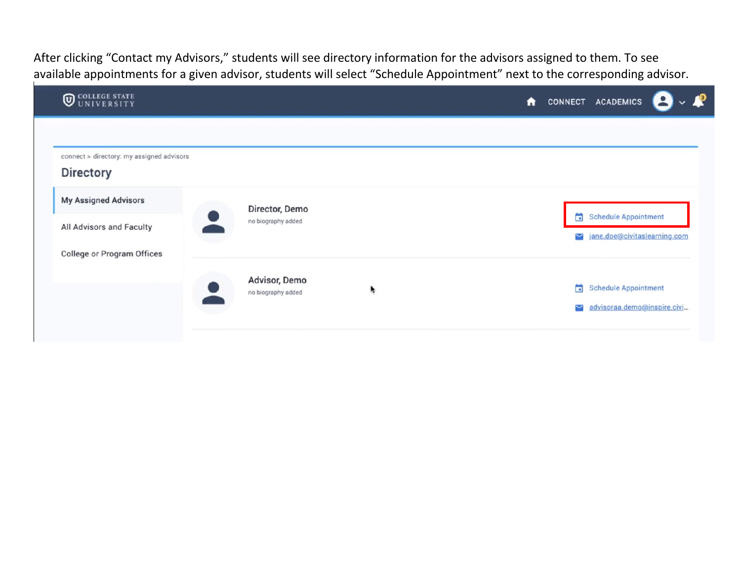After clicking "Contact my Advisors," students will see directory information for the advisors assigned to them. To see available appointments for a given advisor, students will select "Schedule Appointment" next to the corresponding advisor.

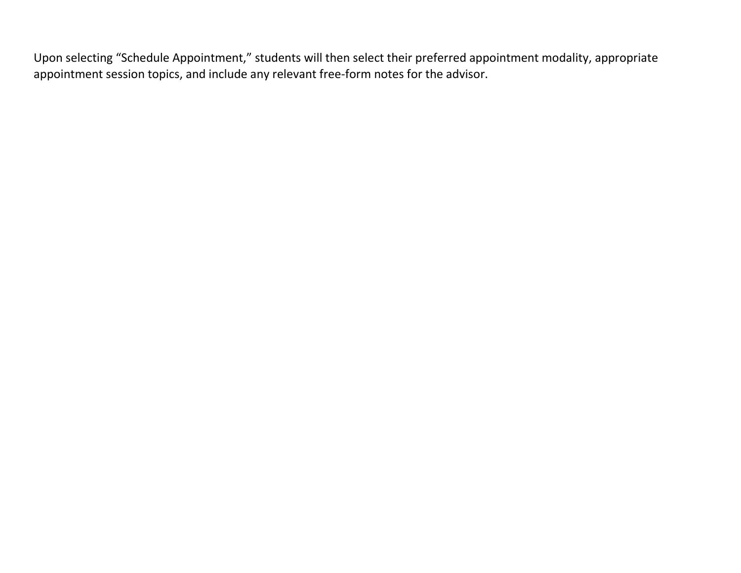Upon selecting "Schedule Appointment," students will then select their preferred appointment modality, appropriate appointment session topics, and include any relevant free-form notes for the advisor.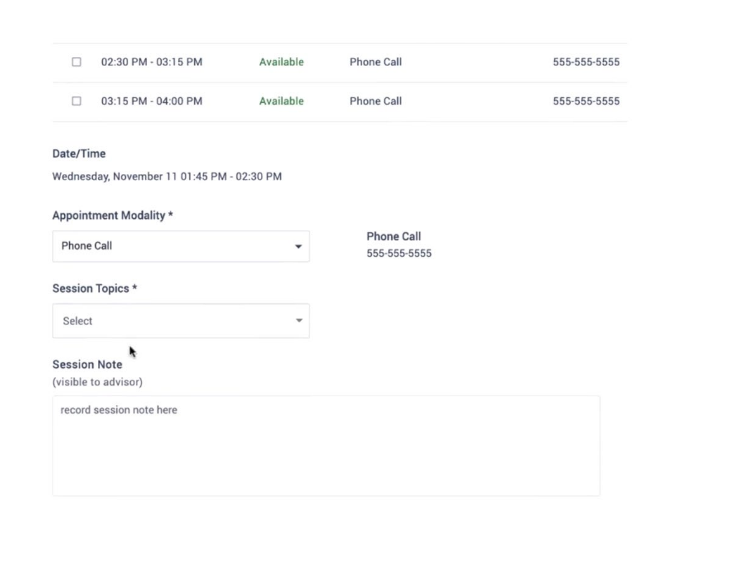| п                   | 02:30 PM - 03:15 PM                        | Available                | Phone Call                        | 555-555-5555 |  |  |
|---------------------|--------------------------------------------|--------------------------|-----------------------------------|--------------|--|--|
| Ω                   | 03:15 PM - 04:00 PM                        | Available                | Phone Call                        | 555-555-5555 |  |  |
| Date/Time           |                                            |                          |                                   |              |  |  |
|                     | Wednesday, November 11 01:45 PM - 02:30 PM |                          |                                   |              |  |  |
|                     | Appointment Modality *                     |                          |                                   |              |  |  |
| Phone Call<br>۰     |                                            |                          | <b>Phone Call</b><br>555-555-5555 |              |  |  |
|                     | Session Topics *                           |                          |                                   |              |  |  |
| Select              |                                            | $\overline{\phantom{a}}$ |                                   |              |  |  |
| <b>Session Note</b> | ۰                                          |                          |                                   |              |  |  |
|                     | (visible to advisor)                       |                          |                                   |              |  |  |
|                     | record session note here                   |                          |                                   |              |  |  |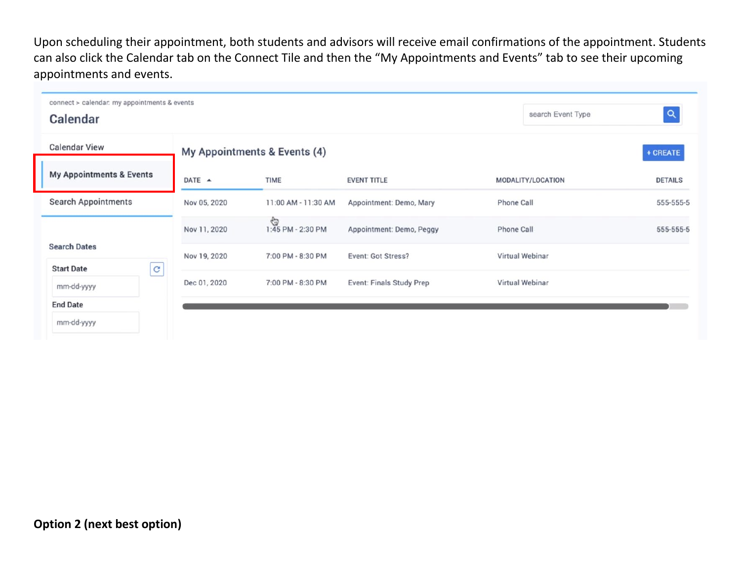Upon scheduling their appointment, both students and advisors will receive email confirmations of the appointment. Students can also click the Calendar tab on the Connect Tile and then the "My Appointments and Events" tab to see their upcoming appointments and events.

| connect > calendar. my appointments & events<br>search Event Type<br>Calendar |                  |                              |                          |                   |                |  |  |  |
|-------------------------------------------------------------------------------|------------------|------------------------------|--------------------------|-------------------|----------------|--|--|--|
| <b>Calendar View</b>                                                          |                  | My Appointments & Events (4) |                          |                   | + CREATE       |  |  |  |
| <b>My Appointments &amp; Events</b>                                           | DATE $\triangle$ | TIME                         | <b>EVENT TITLE</b>       | MODALITY/LOCATION | <b>DETAILS</b> |  |  |  |
| Search Appointments                                                           | Nov 05, 2020     | 11:00 AM - 11:30 AM          | Appointment: Demo, Mary  | Phone Call        | 555-555-5      |  |  |  |
|                                                                               | Nov 11, 2020     | G<br>1:45 PM - 2:30 PM       | Appointment: Demo, Peggy | Phone Call        | 555-555-5      |  |  |  |
| <b>Search Dates</b><br>$\mathbf{G}% _{0}$<br><b>Start Date</b>                | Nov 19, 2020     | 7:00 PM - 8:30 PM            | Event: Got Stress?       | Virtual Webinar   |                |  |  |  |
| mm-dd-yyyy                                                                    | Dec 01, 2020     | 7:00 PM - 8:30 PM            | Event: Finals Study Prep | Virtual Webinar   |                |  |  |  |
| <b>End Date</b>                                                               |                  |                              |                          |                   |                |  |  |  |
| mm-dd-yyyy                                                                    |                  |                              |                          |                   |                |  |  |  |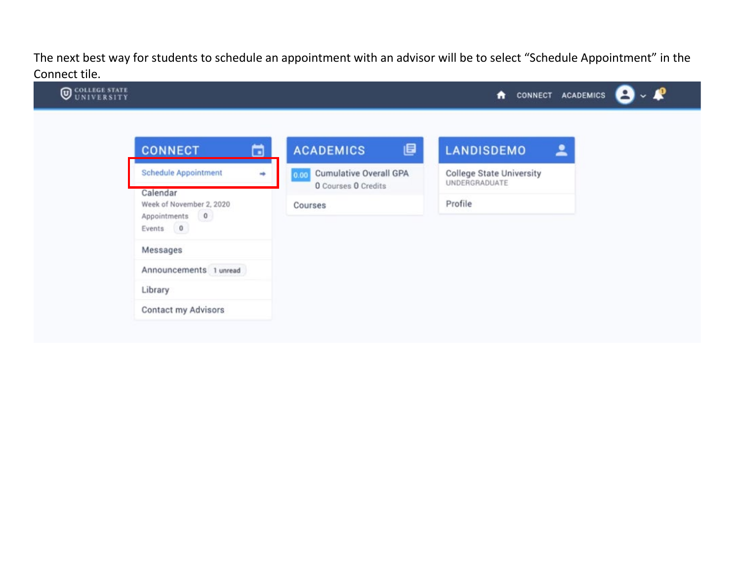The next best way for students to schedule an appointment with an advisor will be to select "Schedule Appointment" in the Connect tile.

| <b>CONNECT</b>                                                     | 6 | ₿<br><b>ACADEMICS</b>                 | <b>LANDISDEMO</b><br>≗                           |
|--------------------------------------------------------------------|---|---------------------------------------|--------------------------------------------------|
| <b>Schedule Appointment</b>                                        | ٠ | <b>Cumulative Overall GPA</b><br>0.00 | <b>College State University</b><br>UNDERGRADUATE |
| Calendar<br>Week of November 2, 2020<br>Appointments 0<br>Events 0 |   | O Courses O Credits<br>Courses        | Profile                                          |
| Messages                                                           |   |                                       |                                                  |
| Announcements 1 unread                                             |   |                                       |                                                  |
| Library                                                            |   |                                       |                                                  |
| <b>Contact my Advisors</b>                                         |   |                                       |                                                  |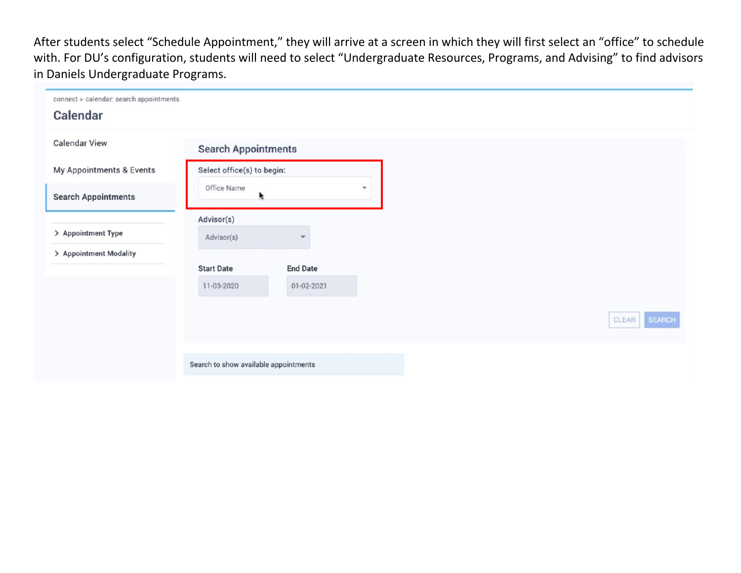After students select "Schedule Appointment," they will arrive at a screen in which they will first select an "office" to schedule with. For DU's configuration, students will need to select "Undergraduate Resources, Programs, and Advising" to find advisors in Daniels Undergraduate Programs.

| connect > calendar. search appointments<br>Calendar |                                       |                         |                          |
|-----------------------------------------------------|---------------------------------------|-------------------------|--------------------------|
| <b>Calendar View</b>                                | <b>Search Appointments</b>            |                         |                          |
| My Appointments & Events                            | Select office(s) to begin:            |                         |                          |
| <b>Search Appointments</b>                          | Office Name                           |                         | $\overline{\phantom{a}}$ |
|                                                     | Advisor(s)                            |                         |                          |
| > Appointment Type                                  | Advisor(s)                            | $\overline{\mathbf{v}}$ |                          |
| > Appointment Modality                              | <b>Start Date</b>                     | <b>End Date</b>         |                          |
|                                                     | 11-03-2020                            | 01-02-2021              |                          |
|                                                     |                                       |                         |                          |
|                                                     |                                       |                         |                          |
|                                                     |                                       |                         |                          |
|                                                     | Search to show available appointments |                         |                          |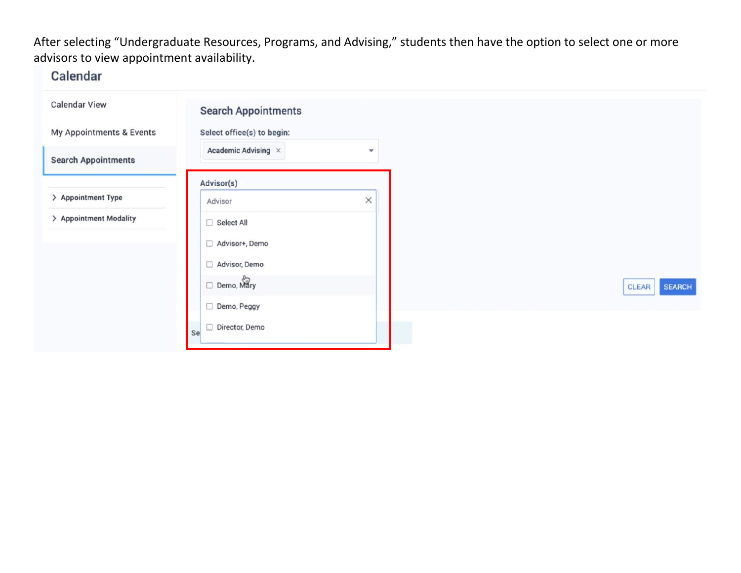## After selecting "Undergraduate Resources, Programs, and Advising," students then have the option to select one or more advisors to view appointment availability.

## Calendar

| <b>Search Appointments</b>       |                          |
|----------------------------------|--------------------------|
| Select office(s) to begin:       |                          |
| Academic Advising $\, \times \,$ | $\overline{\phantom{a}}$ |
| Advisor(s)                       |                          |
| Advisor                          | $\times$                 |
| Select All                       |                          |
| Advisor+, Demo<br>□              |                          |
| Advisor, Demo<br>□               |                          |
| Demo, Mary                       |                          |
| Demo, Peggy<br>□                 |                          |
| Director, Demo<br><b>Se</b>      |                          |
|                                  |                          |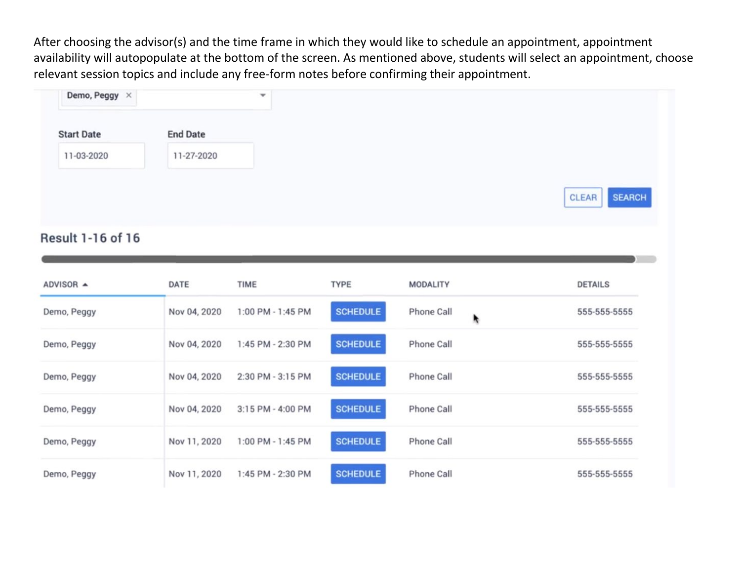After choosing the advisor(s) and the time frame in which they would like to schedule an appointment, appointment availability will autopopulate at the bottom of the screen. As mentioned above, students will select an appointment, choose relevant session topics and include any free-form notes before confirming their appointment.

## Result 1-16 of 16

| ADVISOR ▲   | DATE         | TIME              | <b>TYPE</b>     | <b>MODALITY</b>   |   | <b>DETAILS</b> |
|-------------|--------------|-------------------|-----------------|-------------------|---|----------------|
| Demo, Peggy | Nov 04, 2020 | 1:00 PM - 1:45 PM | <b>SCHEDULE</b> | Phone Call        | R | 555-555-5555   |
| Demo, Peggy | Nov 04, 2020 | 1:45 PM - 2:30 PM | <b>SCHEDULE</b> | Phone Call        |   | 555-555-5555   |
| Demo, Peggy | Nov 04, 2020 | 2:30 PM - 3:15 PM | <b>SCHEDULE</b> | <b>Phone Call</b> |   | 555-555-5555   |
| Demo, Peggy | Nov 04, 2020 | 3:15 PM - 4:00 PM | <b>SCHEDULE</b> | Phone Call        |   | 555-555-5555   |
| Demo, Peggy | Nov 11, 2020 | 1:00 PM - 1:45 PM | <b>SCHEDULE</b> | Phone Call        |   | 555-555-5555   |
| Demo, Peggy | Nov 11, 2020 | 1:45 PM - 2:30 PM | <b>SCHEDULE</b> | Phone Call        |   | 555-555-5555   |